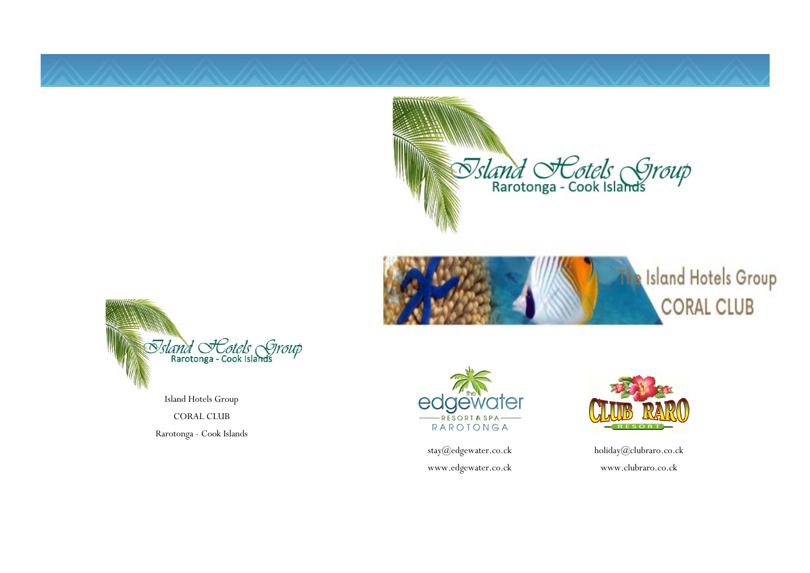





Island Hotels Group CORAL CLUB Rarotonga - Cook Islands



stay@edgewater.co.ck www.edgewater.co.ck



holiday@clubraro.co.ck www.clubraro.co.ck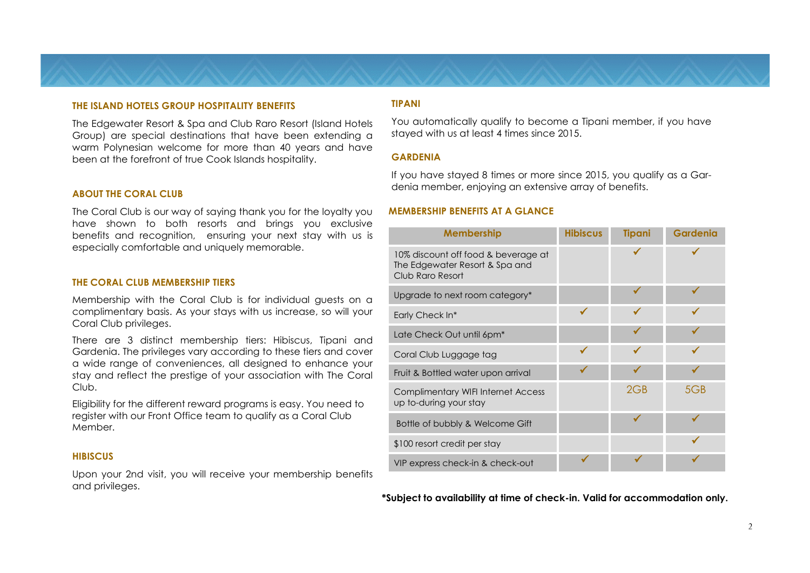#### **THE ISLAND HOTELS GROUP HOSPITALITY BENEFITS**

The Edgewater Resort & Spa and Club Raro Resort (Island Hotels Group) are special destinations that have been extending a warm Polynesian welcome for more than 40 years and have been at the forefront of true Cook Islands hospitality.

#### **ABOUT THE CORAL CLUB**

The Coral Club is our way of saying thank you for the loyalty you have shown to both resorts and brings you exclusive benefits and recognition, ensuring your next stay with us is especially comfortable and uniquely memorable.

#### **THE CORAL CLUB MEMBERSHIP TIERS**

Membership with the Coral Club is for individual guests on a complimentary basis. As your stays with us increase, so will your Coral Club privileges.

There are 3 distinct membership tiers: Hibiscus, Tipani and Gardenia. The privileges vary according to these tiers and cover a wide range of conveniences, all designed to enhance your stay and reflect the prestige of your association with The Coral Club.

Eligibility for the different reward programs is easy. You need to register with our Front Office team to qualify as a Coral Club Member.

#### **HIBISCUS**

Upon your 2nd visit, you will receive your membership benefits and privileges.

# **TIPANI**

You automatically qualify to become a Tipani member, if you have stayed with us at least 4 times since 2015.

#### **GARDENIA**

If you have stayed 8 times or more since 2015, you qualify as a Gardenia member, enjoying an extensive array of benefits.

# **MEMBERSHIP BENEFITS AT A GLANCE**

| <b>Membership</b>                                                                         | <b>Hibiscus</b> | <b>Tipani</b> | <b>Gardenia</b> |
|-------------------------------------------------------------------------------------------|-----------------|---------------|-----------------|
| 10% discount off food & beverage at<br>The Edgewater Resort & Spa and<br>Club Raro Resort |                 |               |                 |
| Upgrade to next room category*                                                            |                 |               |                 |
| Early Check In*                                                                           | $\checkmark$    | ✔             |                 |
| Late Check Out until 6pm <sup>*</sup>                                                     |                 | ✔             |                 |
| Coral Club Luggage tag                                                                    | $\checkmark$    |               |                 |
| Fruit & Bottled water upon arrival                                                        |                 |               |                 |
| <b>Complimentary WIFI Internet Access</b><br>up to-during your stay                       |                 | 2GB           | 5GB             |
| Bottle of bubbly & Welcome Gift                                                           |                 |               |                 |
| \$100 resort credit per stay                                                              |                 |               |                 |
| VIP express check-in & check-out                                                          |                 |               |                 |

**\*Subject to availability at time of check-in. Valid for accommodation only.**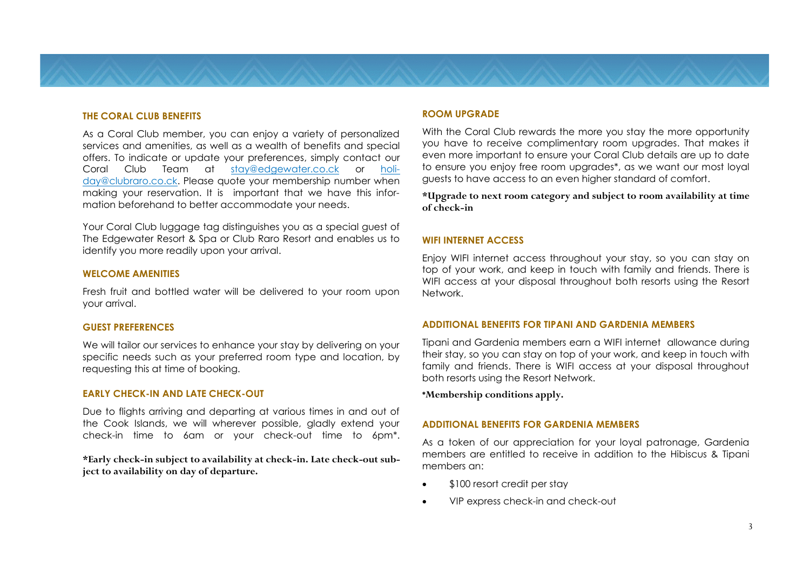# **THE CORAL CLUB BENEFITS**

As a Coral Club member, you can enjoy a variety of personalized services and amenities, as well as a wealth of benefits and special offers. To indicate or update your preferences, simply contact our Coral Club Team at stay@edgewater.co.ck or holiday@clubraro.co.ck. Please quote your membership number when making your reservation. It is important that we have this information beforehand to better accommodate your needs.

Your Coral Club luggage tag distinguishes you as a special guest of The Edgewater Resort & Spa or Club Raro Resort and enables us to identify you more readily upon your arrival.

#### **WELCOME AMENITIES**

Fresh fruit and bottled water will be delivered to your room upon your arrival.

#### **GUEST PREFERENCES**

We will tailor our services to enhance your stay by delivering on your specific needs such as your preferred room type and location, by requesting this at time of booking.

#### **EARLY CHECK-IN AND LATE CHECK-OUT**

Due to flights arriving and departing at various times in and out of the Cook Islands, we will wherever possible, gladly extend your check-in time to 6am or your check-out time to 6pm\*.

**\*Early check-in subject to availability at check-in. Late check-out subject to availability on day of departure.**

#### **ROOM UPGRADE**

With the Coral Club rewards the more you stay the more opportunity you have to receive complimentary room upgrades. That makes it even more important to ensure your Coral Club details are up to date to ensure you enjoy free room upgrades\*, as we want our most loyal guests to have access to an even higher standard of comfort.

**\*Upgrade to next room category and subject to room availability at time of check-in**

# **WIFI INTERNET ACCESS**

Enjoy WIFI internet access throughout your stay, so you can stay on top of your work, and keep in touch with family and friends. There is WIFI access at your disposal throughout both resorts using the Resort Network.

#### **ADDITIONAL BENEFITS FOR TIPANI AND GARDENIA MEMBERS**

Tipani and Gardenia members earn a WIFI internet allowance during their stay, so you can stay on top of your work, and keep in touch with family and friends. There is WIFI access at your disposal throughout both resorts using the Resort Network.

**\*Membership conditions apply.**

# **ADDITIONAL BENEFITS FOR GARDENIA MEMBERS**

As a token of our appreciation for your loyal patronage, Gardenia members are entitled to receive in addition to the Hibiscus & Tipani members an:

- \$100 resort credit per stay
- VIP express check-in and check-out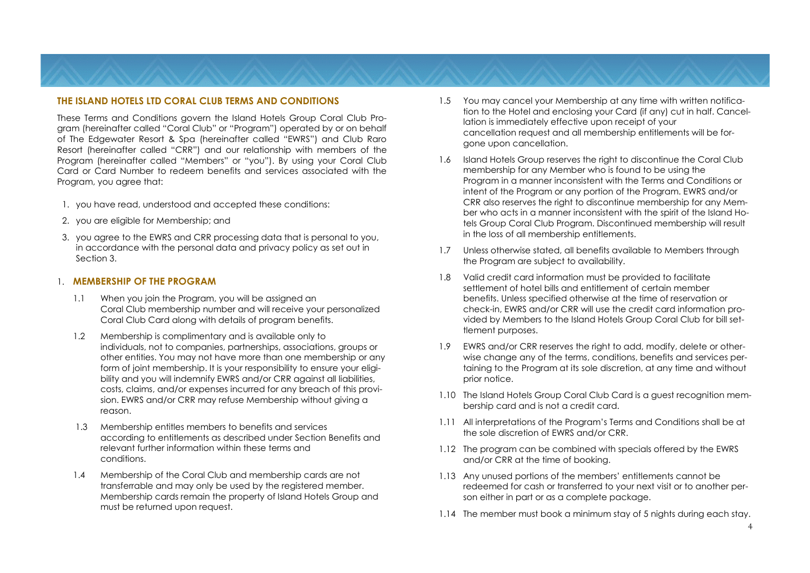# **THE ISLAND HOTELS LTD CORAL CLUB TERMS AND CONDITIONS**

These Terms and Conditions govern the Island Hotels Group Coral Club Program (hereinafter called "Coral Club" or "Program") operated by or on behalf of The Edgewater Resort & Spa (hereinafter called "EWRS") and Club Raro Resort (hereinafter called "CRR") and our relationship with members of the Program (hereinafter called "Members" or "you"). By using your Coral Club Card or Card Number to redeem benefits and services associated with the Program, you agree that:

- 1. you have read, understood and accepted these conditions:
- 2. you are eligible for Membership; and
- 3. you agree to the EWRS and CRR processing data that is personal to you, in accordance with the personal data and privacy policy as set out in Section 3.

#### 1. **MEMBERSHIP OF THE PROGRAM**

- 1.1 When you join the Program, you will be assigned an Coral Club membership number and will receive your personalized Coral Club Card along with details of program benefits.
- 1.2 Membership is complimentary and is available only to individuals, not to companies, partnerships, associations, groups or other entities. You may not have more than one membership or any form of joint membership. It is your responsibility to ensure your eligibility and you will indemnify EWRS and/or CRR against all liabilities, costs, claims, and/or expenses incurred for any breach of this provision. EWRS and/or CRR may refuse Membership without giving a reason.
- 1.3 Membership entitles members to benefits and services according to entitlements as described under Section Benefits and relevant further information within these terms and conditions.
- 1.4 Membership of the Coral Club and membership cards are not transferrable and may only be used by the registered member. Membership cards remain the property of Island Hotels Group and must be returned upon request.
- 1.5 You may cancel your Membership at any time with written notification to the Hotel and enclosing your Card (if any) cut in half. Cancellation is immediately effective upon receipt of your cancellation request and all membership entitlements will be forgone upon cancellation.
- 1.6 Island Hotels Group reserves the right to discontinue the Coral Club membership for any Member who is found to be using the Program in a manner inconsistent with the Terms and Conditions or intent of the Program or any portion of the Program. EWRS and/or CRR also reserves the right to discontinue membership for any Member who acts in a manner inconsistent with the spirit of the Island Hotels Group Coral Club Program. Discontinued membership will result in the loss of all membership entitlements.
- 1.7 Unless otherwise stated, all benefits available to Members through the Program are subject to availability.
- 1.8 Valid credit card information must be provided to facilitate settlement of hotel bills and entitlement of certain member benefits. Unless specified otherwise at the time of reservation or check-in, EWRS and/or CRR will use the credit card information provided by Members to the Island Hotels Group Coral Club for bill settlement purposes.
- 1.9 EWRS and/or CRR reserves the right to add, modify, delete or otherwise change any of the terms, conditions, benefits and services pertaining to the Program at its sole discretion, at any time and without prior notice.
- 1.10 The Island Hotels Group Coral Club Card is a guest recognition membership card and is not a credit card.
- 1.11 All interpretations of the Program's Terms and Conditions shall be at the sole discretion of EWRS and/or CRR.
- 1.12 The program can be combined with specials offered by the EWRS and/or CRR at the time of booking.
- 1.13 Any unused portions of the members' entitlements cannot be redeemed for cash or transferred to your next visit or to another person either in part or as a complete package.
- 1.14 The member must book a minimum stay of 5 nights during each stay.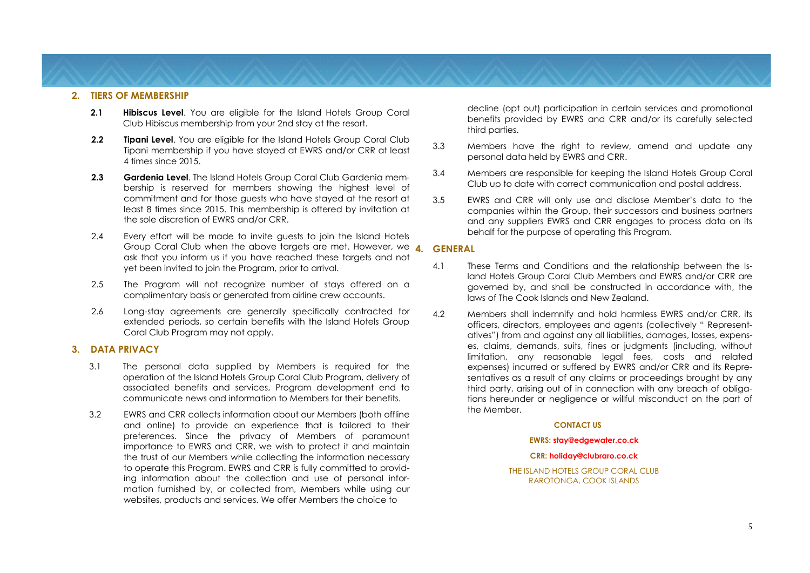#### **2. TIERS OF MEMBERSHIP**

- **2.1 Hibiscus Level**. You are eligible for the Island Hotels Group Coral Club Hibiscus membership from your 2nd stay at the resort.
- **2.2 Tipani Level**. You are eligible for the Island Hotels Group Coral Club Tipani membership if you have stayed at EWRS and/or CRR at least 4 times since 2015.
- **2.3 Gardenia Level**. The Island Hotels Group Coral Club Gardenia membership is reserved for members showing the highest level of commitment and for those guests who have stayed at the resort at least 8 times since 2015. This membership is offered by invitation at the sole discretion of EWRS and/or CRR.
- 2.4 Every effort will be made to invite guests to join the Island Hotels Group Coral Club when the above targets are met. However, we **4. GENERAL**  ask that you inform us if you have reached these targets and not yet been invited to join the Program, prior to arrival.
- 2.5 The Program will not recognize number of stays offered on a complimentary basis or generated from airline crew accounts.
- 2.6 Long-stay agreements are generally specifically contracted for extended periods, so certain benefits with the Island Hotels Group Coral Club Program may not apply.

#### **3. DATA PRIVACY**

- 3.1 The personal data supplied by Members is required for the operation of the Island Hotels Group Coral Club Program, delivery of associated benefits and services, Program development end to communicate news and information to Members for their benefits.
- 3.2 EWRS and CRR collects information about our Members (both offline and online) to provide an experience that is tailored to their preferences. Since the privacy of Members of paramount importance to EWRS and CRR, we wish to protect it and maintain the trust of our Members while collecting the information necessary to operate this Program. EWRS and CRR is fully committed to providing information about the collection and use of personal information furnished by, or collected from, Members while using our websites, products and services. We offer Members the choice to

decline (opt out) participation in certain services and promotional benefits provided by EWRS and CRR and/or its carefully selected third parties.

- 3.3 Members have the right to review, amend and update any personal data held by EWRS and CRR.
- 3.4 Members are responsible for keeping the Island Hotels Group Coral Club up to date with correct communication and postal address.
- 3.5 EWRS and CRR will only use and disclose Member's data to the companies within the Group, their successors and business partners and any suppliers EWRS and CRR engages to process data on its behalf for the purpose of operating this Program.

- 4.1 These Terms and Conditions and the relationship between the Island Hotels Group Coral Club Members and EWRS and/or CRR are governed by, and shall be constructed in accordance with, the laws of The Cook Islands and New Zealand.
- 4.2 Members shall indemnify and hold harmless EWRS and/or CRR, its officers, directors, employees and agents (collectively " Representatives") from and against any all liabilities, damages, losses, expenses, claims, demands, suits, fines or judgments (including, without limitation, any reasonable legal fees, costs and related expenses) incurred or suffered by EWRS and/or CRR and its Representatives as a result of any claims or proceedings brought by any third party, arising out of in connection with any breach of obligations hereunder or negligence or willful misconduct on the part of the Member.

#### **CONTACT US**

#### **EWRS: stay@edgewater.co.ck**

#### **CRR: holiday@clubraro.co.ck**

THE ISLAND HOTELS GROUP CORAL CLUB RAROTONGA, COOK ISLANDS